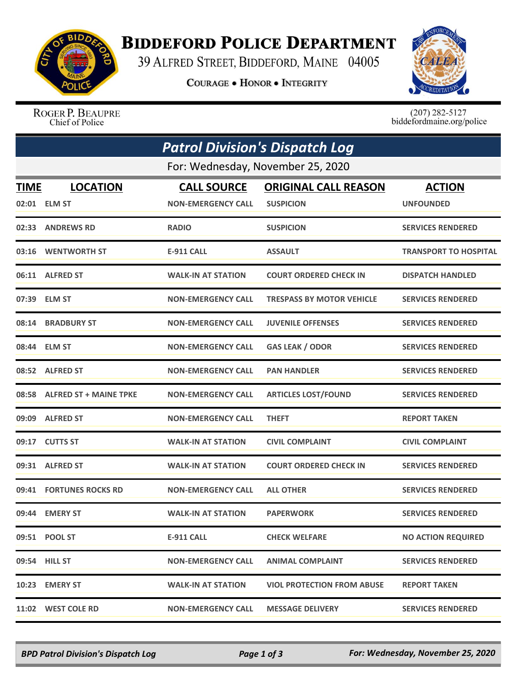

## **BIDDEFORD POLICE DEPARTMENT**

39 ALFRED STREET, BIDDEFORD, MAINE 04005

**COURAGE . HONOR . INTEGRITY** 



ROGER P. BEAUPRE Chief of Police

 $(207)$  282-5127<br>biddefordmaine.org/police

| <b>Patrol Division's Dispatch Log</b><br>For: Wednesday, November 25, 2020 |                              |                           |                                   |                              |  |  |
|----------------------------------------------------------------------------|------------------------------|---------------------------|-----------------------------------|------------------------------|--|--|
|                                                                            |                              |                           |                                   |                              |  |  |
|                                                                            | 02:01 ELM ST                 | <b>NON-EMERGENCY CALL</b> | <b>SUSPICION</b>                  | <b>UNFOUNDED</b>             |  |  |
|                                                                            | 02:33 ANDREWS RD             | <b>RADIO</b>              | <b>SUSPICION</b>                  | <b>SERVICES RENDERED</b>     |  |  |
|                                                                            | 03:16 WENTWORTH ST           | <b>E-911 CALL</b>         | <b>ASSAULT</b>                    | <b>TRANSPORT TO HOSPITAL</b> |  |  |
|                                                                            | 06:11 ALFRED ST              | <b>WALK-IN AT STATION</b> | <b>COURT ORDERED CHECK IN</b>     | <b>DISPATCH HANDLED</b>      |  |  |
|                                                                            | 07:39 ELM ST                 | <b>NON-EMERGENCY CALL</b> | <b>TRESPASS BY MOTOR VEHICLE</b>  | <b>SERVICES RENDERED</b>     |  |  |
| 08:14                                                                      | <b>BRADBURY ST</b>           | <b>NON-EMERGENCY CALL</b> | <b>JUVENILE OFFENSES</b>          | <b>SERVICES RENDERED</b>     |  |  |
|                                                                            | 08:44 ELM ST                 | <b>NON-EMERGENCY CALL</b> | <b>GAS LEAK / ODOR</b>            | <b>SERVICES RENDERED</b>     |  |  |
|                                                                            | 08:52 ALFRED ST              | <b>NON-EMERGENCY CALL</b> | <b>PAN HANDLER</b>                | <b>SERVICES RENDERED</b>     |  |  |
|                                                                            | 08:58 ALFRED ST + MAINE TPKE | <b>NON-EMERGENCY CALL</b> | <b>ARTICLES LOST/FOUND</b>        | <b>SERVICES RENDERED</b>     |  |  |
|                                                                            | 09:09 ALFRED ST              | <b>NON-EMERGENCY CALL</b> | <b>THEFT</b>                      | <b>REPORT TAKEN</b>          |  |  |
|                                                                            | 09:17 CUTTS ST               | <b>WALK-IN AT STATION</b> | <b>CIVIL COMPLAINT</b>            | <b>CIVIL COMPLAINT</b>       |  |  |
|                                                                            | 09:31 ALFRED ST              | <b>WALK-IN AT STATION</b> | <b>COURT ORDERED CHECK IN</b>     | <b>SERVICES RENDERED</b>     |  |  |
| 09:41                                                                      | <b>FORTUNES ROCKS RD</b>     | <b>NON-EMERGENCY CALL</b> | <b>ALL OTHER</b>                  | <b>SERVICES RENDERED</b>     |  |  |
|                                                                            | 09:44 EMERY ST               | <b>WALK-IN AT STATION</b> | <b>PAPERWORK</b>                  | <b>SERVICES RENDERED</b>     |  |  |
|                                                                            | 09:51 POOL ST                | <b>E-911 CALL</b>         | <b>CHECK WELFARE</b>              | <b>NO ACTION REQUIRED</b>    |  |  |
|                                                                            | 09:54 HILL ST                | <b>NON-EMERGENCY CALL</b> | <b>ANIMAL COMPLAINT</b>           | <b>SERVICES RENDERED</b>     |  |  |
|                                                                            | 10:23 EMERY ST               | <b>WALK-IN AT STATION</b> | <b>VIOL PROTECTION FROM ABUSE</b> | <b>REPORT TAKEN</b>          |  |  |
| 11:02                                                                      | <b>WEST COLE RD</b>          | <b>NON-EMERGENCY CALL</b> | <b>MESSAGE DELIVERY</b>           | <b>SERVICES RENDERED</b>     |  |  |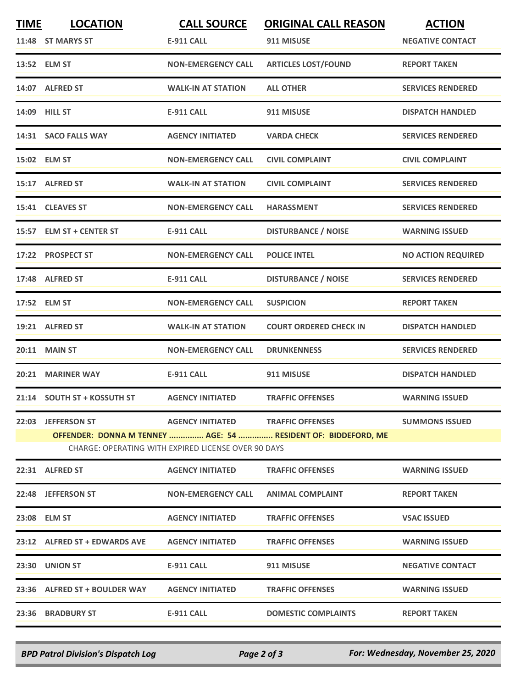| <b>TIME</b>                                         | <b>LOCATION</b>               | <b>CALL SOURCE</b>                | <b>ORIGINAL CALL REASON</b>                                   | <b>ACTION</b>             |  |  |
|-----------------------------------------------------|-------------------------------|-----------------------------------|---------------------------------------------------------------|---------------------------|--|--|
|                                                     | 11:48 ST MARYS ST             | <b>E-911 CALL</b>                 | 911 MISUSE                                                    | <b>NEGATIVE CONTACT</b>   |  |  |
|                                                     | 13:52 ELM ST                  | <b>NON-EMERGENCY CALL</b>         | <b>ARTICLES LOST/FOUND</b>                                    | <b>REPORT TAKEN</b>       |  |  |
|                                                     | 14:07 ALFRED ST               | <b>WALK-IN AT STATION</b>         | <b>ALL OTHER</b>                                              | <b>SERVICES RENDERED</b>  |  |  |
|                                                     | 14:09 HILL ST                 | <b>E-911 CALL</b>                 | 911 MISUSE                                                    | <b>DISPATCH HANDLED</b>   |  |  |
|                                                     | 14:31 SACO FALLS WAY          | <b>AGENCY INITIATED</b>           | <b>VARDA CHECK</b>                                            | <b>SERVICES RENDERED</b>  |  |  |
|                                                     | 15:02 ELM ST                  | <b>NON-EMERGENCY CALL</b>         | <b>CIVIL COMPLAINT</b>                                        | <b>CIVIL COMPLAINT</b>    |  |  |
|                                                     | 15:17 ALFRED ST               | <b>WALK-IN AT STATION</b>         | <b>CIVIL COMPLAINT</b>                                        | <b>SERVICES RENDERED</b>  |  |  |
|                                                     | 15:41 CLEAVES ST              | <b>NON-EMERGENCY CALL</b>         | <b>HARASSMENT</b>                                             | <b>SERVICES RENDERED</b>  |  |  |
|                                                     | 15:57 ELM ST + CENTER ST      | <b>E-911 CALL</b>                 | <b>DISTURBANCE / NOISE</b>                                    | <b>WARNING ISSUED</b>     |  |  |
|                                                     | 17:22 PROSPECT ST             | <b>NON-EMERGENCY CALL</b>         | <b>POLICE INTEL</b>                                           | <b>NO ACTION REQUIRED</b> |  |  |
|                                                     | 17:48 ALFRED ST               | <b>E-911 CALL</b>                 | <b>DISTURBANCE / NOISE</b>                                    | <b>SERVICES RENDERED</b>  |  |  |
|                                                     | 17:52 ELM ST                  | <b>NON-EMERGENCY CALL</b>         | <b>SUSPICION</b>                                              | <b>REPORT TAKEN</b>       |  |  |
|                                                     | 19:21 ALFRED ST               | <b>WALK-IN AT STATION</b>         | <b>COURT ORDERED CHECK IN</b>                                 | <b>DISPATCH HANDLED</b>   |  |  |
|                                                     | 20:11 MAIN ST                 | <b>NON-EMERGENCY CALL</b>         | <b>DRUNKENNESS</b>                                            | <b>SERVICES RENDERED</b>  |  |  |
|                                                     | 20:21 MARINER WAY             | <b>E-911 CALL</b>                 | 911 MISUSE                                                    | <b>DISPATCH HANDLED</b>   |  |  |
|                                                     | 21:14 SOUTH ST + KOSSUTH ST   | <b>AGENCY INITIATED</b>           | <b>TRAFFIC OFFENSES</b>                                       | <b>WARNING ISSUED</b>     |  |  |
|                                                     | 22:03 JEFFERSON ST            | AGENCY INITIATED TRAFFIC OFFENSES |                                                               | <b>SUMMONS ISSUED</b>     |  |  |
|                                                     |                               |                                   | OFFENDER: DONNA M TENNEY  AGE: 54  RESIDENT OF: BIDDEFORD, ME |                           |  |  |
| CHARGE: OPERATING WITH EXPIRED LICENSE OVER 90 DAYS |                               |                                   |                                                               |                           |  |  |
|                                                     | 22:31 ALFRED ST               | <b>AGENCY INITIATED</b>           | <b>TRAFFIC OFFENSES</b>                                       | <b>WARNING ISSUED</b>     |  |  |
|                                                     | 22:48 JEFFERSON ST            | <b>NON-EMERGENCY CALL</b>         | <b>ANIMAL COMPLAINT</b>                                       | <b>REPORT TAKEN</b>       |  |  |
|                                                     | 23:08 ELM ST                  | <b>AGENCY INITIATED</b>           | <b>TRAFFIC OFFENSES</b>                                       | <b>VSAC ISSUED</b>        |  |  |
|                                                     | 23:12 ALFRED ST + EDWARDS AVE | <b>AGENCY INITIATED</b>           | <b>TRAFFIC OFFENSES</b>                                       | <b>WARNING ISSUED</b>     |  |  |
|                                                     | 23:30 UNION ST                | E-911 CALL                        | 911 MISUSE                                                    | <b>NEGATIVE CONTACT</b>   |  |  |
|                                                     | 23:36 ALFRED ST + BOULDER WAY | <b>AGENCY INITIATED</b>           | <b>TRAFFIC OFFENSES</b>                                       | <b>WARNING ISSUED</b>     |  |  |
|                                                     | 23:36 BRADBURY ST             | E-911 CALL                        | <b>DOMESTIC COMPLAINTS</b>                                    | <b>REPORT TAKEN</b>       |  |  |
|                                                     |                               |                                   |                                                               |                           |  |  |

*BPD Patrol Division's Dispatch Log Page 2 of 3 For: Wednesday, November 25, 2020*